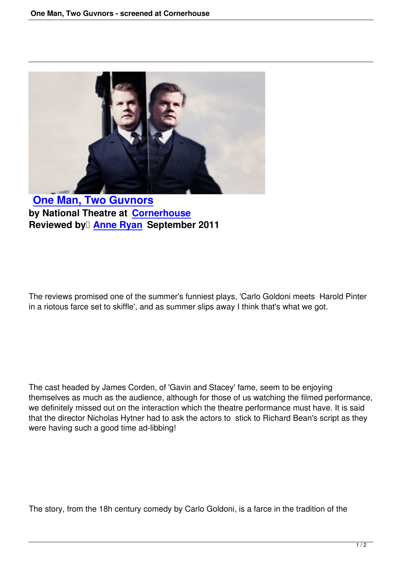

**One Man, Two Guvnors by National Theatre at Cornerhouse Reviewed by [Anne Ryan S](one-man-two-guvnors-national-theatre.html)eptember 2011**

The reviews promised one of the summer's funniest plays, 'Carlo Goldoni meets Harold Pinter in a riotous farce set to skiffle', and as summer slips away I think that's what we got.

The cast headed by James Corden, of 'Gavin and Stacey' fame, seem to be enjoying themselves as much as the audience, although for those of us watching the filmed performance, we definitely missed out on the interaction which the theatre performance must have. It is said that the director Nicholas Hytner had to ask the actors to stick to Richard Bean's script as they were having such a good time ad-libbing!

The story, from the 18h century comedy by Carlo Goldoni, is a farce in the tradition of the